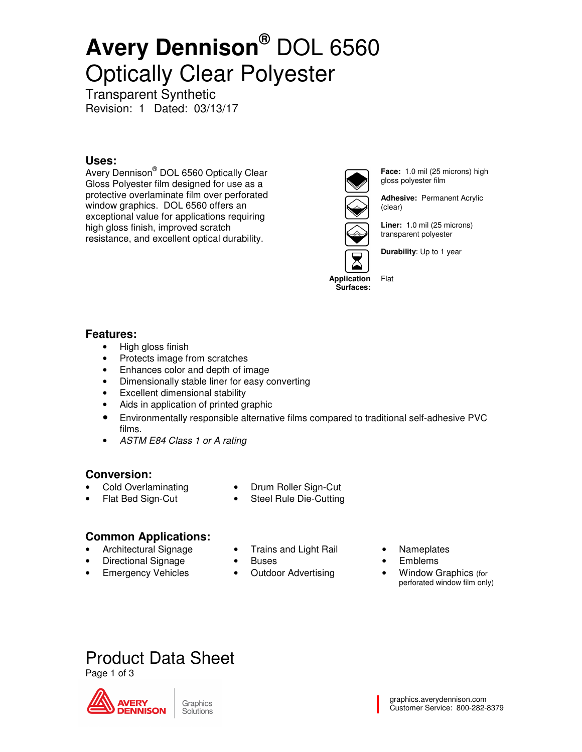# **Avery Dennison®** DOL 6560 Optically Clear Polyester

Transparent Synthetic Revision: 1 Dated: 03/13/17

#### **Uses:**

Avery Dennison® DOL 6560 Optically Clear Gloss Polyester film designed for use as a protective overlaminate film over perforated window graphics. DOL 6560 offers an exceptional value for applications requiring high gloss finish, improved scratch resistance, and excellent optical durability.



**Face:** 1.0 mil (25 microns) high gloss polyester film

**Adhesive:** Permanent Acrylic (clear)

**Liner:** 1.0 mil (25 microns) transparent polyester

**Durability**: Up to 1 year

**Application Surfaces:** 

Flat

#### **Features:**

- High gloss finish
- Protects image from scratches
- Enhances color and depth of image
- Dimensionally stable liner for easy converting
- Excellent dimensional stability
- Aids in application of printed graphic
- Environmentally responsible alternative films compared to traditional self-adhesive PVC films.
- ASTM E84 Class 1 or A rating

#### **Conversion:**

- Cold Overlaminating
- Drum Roller Sign-Cut
- Flat Bed Sign-Cut
- Steel Rule Die-Cutting

#### **Common Applications:**

- Architectural Signage
	- Directional Signage
- **Emergency Vehicles**
- Trains and Light Rail
- **Buses**
- Outdoor Advertising
- **Nameplates**
- Emblems
- Window Graphics (for perforated window film only)

### Product Data Sheet

Page 1 of 3

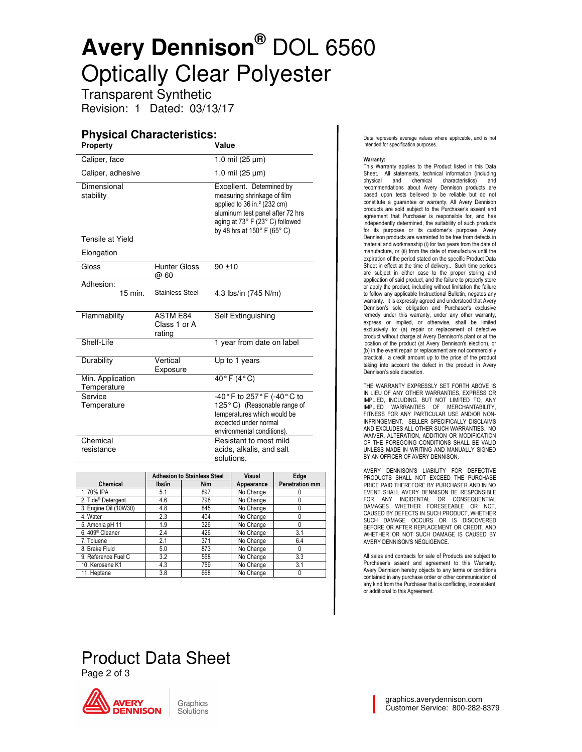# **Avery Dennison®** DOL 6560 Optically Clear Polyester

Transparent Synthetic Revision: 1 Dated: 03/13/17

#### **Physical Characteristics:**

| <b>Property</b>                 |                                           | Value                                                                                                                                                                                                      |  |
|---------------------------------|-------------------------------------------|------------------------------------------------------------------------------------------------------------------------------------------------------------------------------------------------------------|--|
| Caliper, face                   |                                           | 1.0 mil $(25 \mu m)$                                                                                                                                                                                       |  |
| Caliper, adhesive               |                                           | 1.0 mil $(25 \mu m)$                                                                                                                                                                                       |  |
| Dimensional<br>stability        |                                           | Excellent. Determined by<br>measuring shrinkage of film<br>applied to $36$ in. <sup>2</sup> (232 cm)<br>aluminum test panel after 72 hrs<br>aging at 73° F (23° C) followed<br>by 48 hrs at 150° F (65° C) |  |
| Tensile at Yield                |                                           |                                                                                                                                                                                                            |  |
| Elongation                      |                                           |                                                                                                                                                                                                            |  |
| Gloss                           | <b>Hunter Gloss</b><br>@ 60               | $90 + 10$                                                                                                                                                                                                  |  |
| Adhesion:<br>15 min.            | <b>Stainless Steel</b>                    | 4.3 lbs/in (745 N/m)                                                                                                                                                                                       |  |
| Flammability                    | <b>ASTM E84</b><br>Class 1 or A<br>rating | Self Extinguishing                                                                                                                                                                                         |  |
| Shelf-Life                      |                                           | 1 year from date on label                                                                                                                                                                                  |  |
| Durability                      | Vertical<br>Exposure                      | Up to 1 years                                                                                                                                                                                              |  |
| Min. Application<br>Temperature |                                           | $40^{\circ}$ F (4°C)                                                                                                                                                                                       |  |
| Service<br>Temperature          |                                           | -40°F to 257°F (-40°C to<br>125°C) (Reasonable range of<br>temperatures which would be<br>expected under normal<br>environmental conditions).                                                              |  |
| Chemical<br>resistance          |                                           | Resistant to most mild<br>acids, alkalis, and salt<br>solutions.                                                                                                                                           |  |
|                                 |                                           |                                                                                                                                                                                                            |  |

|                                | <b>Adhesion to Stainless Steel</b> |     | Visual     | Edge                  |
|--------------------------------|------------------------------------|-----|------------|-----------------------|
| <b>Chemical</b>                | lbs/in                             | N/m | Appearance | <b>Penetration mm</b> |
| 1.70% IPA                      | 5.1                                | 897 | No Change  | 0                     |
| 2. Tide <sup>®</sup> Detergent | 4.6                                | 798 | No Change  | 0                     |
| 3. Engine Oil (10W30)          | 4.8                                | 845 | No Change  | 0                     |
| 4. Water                       | 2.3                                | 404 | No Change  | 0                     |
| 5. Amonia pH 11                | 1.9                                | 326 | No Change  | 0                     |
| 6.409 <sup>®</sup> Cleaner     | 2.4                                | 426 | No Change  | 3.1                   |
| 7. Toluene                     | 2.1                                | 371 | No Change  | 6.4                   |
| 8. Brake Fluid                 | 5.0                                | 873 | No Change  | 0                     |
| 9. Reference Fuel C            | 3.2                                | 558 | No Change  | 3.3                   |
| 10. Kerosene K1                | 4.3                                | 759 | No Change  | 3.1                   |
| 11. Heptane                    | 3.8                                | 668 | No Change  | 0                     |

Data represents average values where applicable, and is not intended for specification purposes.

#### Warranty:

This Warranty applies to the Product listed in this Data Sheet. All statements, technical information (including<br>physical and chemical characteristics) and and chemical characteristics) and recommendations about Avery Dennison products are based upon tests believed to be reliable but do not constitute a guarantee or warranty. All Avery Dennison products are sold subject to the Purchaser's assent and agreement that Purchaser is responsible for, and has independently determined, the suitability of such products for its purposes or its customer's purposes. Avery Dennison products are warranted to be free from defects in material and workmanship (i) for two years from the date of manufacture, or (ii) from the date of manufacture until the expiration of the period stated on the specific Product Data Sheet in effect at the time of delivery.. Such time periods are subject in either case to the proper storing and application of said product, and the failure to properly store or apply the product, including without limitation the failure to follow any applicable Instructional Bulletin, negates any warranty. It is expressly agreed and understood that Avery Dennison's sole obligation and Purchaser's exclusive remedy under this warranty, under any other warranty, express or implied, or otherwise, shall be limited exclusively to: (a) repair or replacement of defective product without charge at Avery Dennison's plant or at the location of the product (at Avery Dennison's election), or (b) in the event repair or replacement are not commercially practical, a credit amount up to the price of the product taking into account the defect in the product in Avery Dennison's sole discretion.

THE WARRANTY EXPRESSLY SET FORTH ABOVE IS IN LIEU OF ANY OTHER WARRANTIES, EXPRESS OR IMPLIED, INCLUDING, BUT NOT LIMITED TO, ANY IMPLIED WARRANTIES OF MERCHANTABILITY, FITNESS FOR ANY PARTICULAR USE AND/OR NON-INFRINGEMENT. SELLER SPECIFICALLY DISCLAIMS AND EXCLUDES ALL OTHER SUCH WARRANTIES. NO WAIVER, ALTERATION, ADDITION OR MODIFICATION OF THE FOREGOING CONDITIONS SHALL BE VALID UNLESS MADE IN WRITING AND MANUALLY SIGNED BY AN OFFICER OF AVERY DENNISON.

AVERY DENNISON'S LIABILITY FOR DEFECTIVE PRODUCTS SHALL NOT EXCEED THE PURCHASE PRICE PAID THEREFORE BY PURCHASER AND IN NO EVENT SHALL AVERY DENNISON BE RESPONSIBLE FOR ANY INCIDENTAL OR CONSEQUENTIAL DAMAGES WHETHER FORESEEABLE OR NOT, CAUSED BY DEFECTS IN SUCH PRODUCT, WHETHER SUCH DAMAGE OCCURS OR IS DISCOVERED BEFORE OR AFTER REPLACEMENT OR CREDIT, AND WHETHER OR NOT SUCH DAMAGE IS CAUSED BY AVERY DENNISON'S NEGLIGENCE.

All sales and contracts for sale of Products are subject to Purchaser's assent and agreement to this Warranty. Avery Dennison hereby objects to any terms or conditions contained in any purchase order or other communication of any kind from the Purchaser that is conflicting, inconsistent or additional to this Agreement.

### Product Data Sheet Page 2 of 3